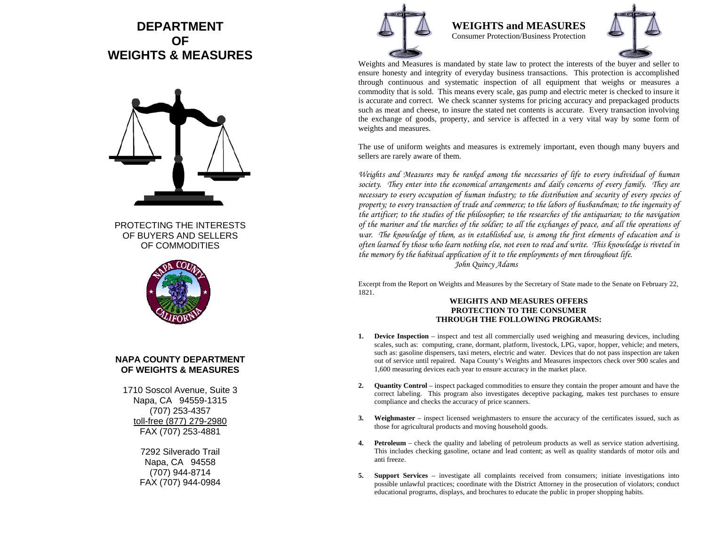# **DEPARTMENT OF WEIGHTS & MEASURES**



PROTECTING THE INTERESTS OF BUYERS AND SELLERS OF COMMODITIES



## **NAPA COUNTY DEPARTMENT OF WEIGHTS & MEASURES**

1710 Soscol Avenue, Suite 3 Napa, CA 94559-1315 (707) 253-4357 toll-free (877) 279-2980 FAX (707) 253-4881

> 7292 Silverado Trail Napa, CA 94558 (707) 944-8714 FAX (707) 944-0984



**WEIGHTS and MEASURES** Consumer Protection/Business Protection



Weights and Measures is mandated by state law to protect the interests of the buyer and seller to ensure honesty and integrity of everyday business transactions. This protection is accomplished through continuous and systematic inspection of all equipment that weighs or measures a commodity that is sold. This means every scale, gas pump and electric meter is checked to insure it is accurate and correct. We check scanner systems for pricing accuracy and prepackaged products such as meat and cheese, to insure the stated net contents is accurate. Every transaction involving the exchange of goods, property, and service is affected in a very vital way by some form of weights and measures.

The use of uniform weights and measures is extremely important, even though many buyers and sellers are rarely aware of them.

*Weights and Measures may be ranked among the necessaries of life to every individual of human*  society. They enter into the economical arrangements and daily concerns of every family. They are *necessary to every occupation of human industry; to the distribution and security of every species of property; to every transaction of trade and commerce; to the labors of husbandman; to the ingenuity of the artificer; to the studies of the philosopher; to the researches of the antiquarian; to the navigation of the mariner and the marches of the soldier; to all the exchanges of peace, and all the operations of war. The knowledge of them, as in established use, is among the first elements of education and is often learned by those who learn nothing else, not even to read and write. This knowledge is riveted in the memory by the habitual application of it to the employments of men throughout life.* 

*John Quincy Adams* 

Excerpt from the Report on Weights and Measures by the Secretary of State made to the Senate on February 22, 1821.

#### **WEIGHTS AND MEASURES OFFERS PROTECTION TO THE CONSUMER THROUGH THE FOLLOWING PROGRAMS:**

- **1. Device Inspection**  inspect and test all commercially used weighing and measuring devices, including scales, such as: computing, crane, dormant, platform, livestock, LPG, vapor, hopper, vehicle; and meters, such as: gasoline dispensers, taxi meters, electric and water. Devices that do not pass inspection are taken out of service until repaired. Napa County's Weights and Measures inspectors check over 900 scales and 1,600 measuring devices each year to ensure accuracy in the market place.
- **2. Quantity Control** – inspect packaged commodities to ensure they contain the proper amount and have the correct labeling. This program also investigates deceptive packaging, makes test purchases to ensure compliance and checks the accuracy of price scanners.
- **3. Weighmaster**  inspect licensed weighmasters to ensure the accuracy of the certificates issued, such as those for agricultural products and moving household goods.
- **4.Petroleum** – check the quality and labeling of petroleum products as well as service station advertising. This includes checking gasoline, octane and lead content; as well as quality standards of motor oils and anti freeze.
- **5. Support Services** – investigate all complaints received from consumers; initiate investigations into possible unlawful practices; coordinate with the District Attorney in the prosecution of violators; conduct educational programs, displays, and brochures to educate the public in proper shopping habits.